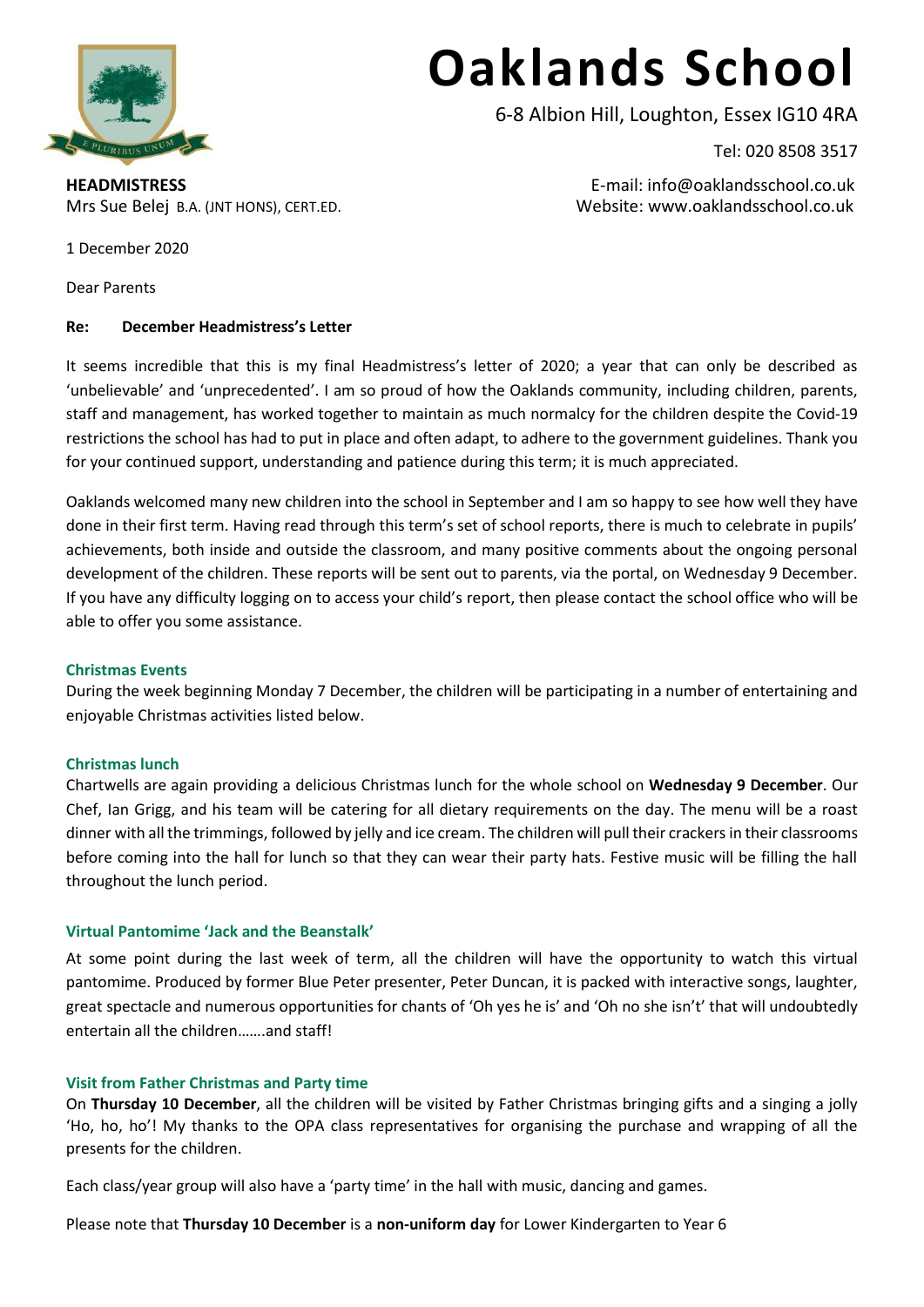

# **Oaklands School**

6-8 Albion Hill, Loughton, Essex IG10 4RA

Tel: 020 8508 3517

**HEADMISTRESS** E-mail: info@oaklandsschool.co.uk Mrs Sue Belej B.A. (JNT HONS), CERT.ED. Website: www.oaklandsschool.co.uk

1 December 2020

Dear Parents

# **Re: December Headmistress's Letter**

It seems incredible that this is my final Headmistress's letter of 2020; a year that can only be described as 'unbelievable' and 'unprecedented'. I am so proud of how the Oaklands community, including children, parents, staff and management, has worked together to maintain as much normalcy for the children despite the Covid-19 restrictions the school has had to put in place and often adapt, to adhere to the government guidelines. Thank you for your continued support, understanding and patience during this term; it is much appreciated.

Oaklands welcomed many new children into the school in September and I am so happy to see how well they have done in their first term. Having read through this term's set of school reports, there is much to celebrate in pupils' achievements, both inside and outside the classroom, and many positive comments about the ongoing personal development of the children. These reports will be sent out to parents, via the portal, on Wednesday 9 December. If you have any difficulty logging on to access your child's report, then please contact the school office who will be able to offer you some assistance.

# **Christmas Events**

During the week beginning Monday 7 December, the children will be participating in a number of entertaining and enjoyable Christmas activities listed below.

# **Christmas lunch**

Chartwells are again providing a delicious Christmas lunch for the whole school on **Wednesday 9 December**. Our Chef, Ian Grigg, and his team will be catering for all dietary requirements on the day. The menu will be a roast dinner with all the trimmings, followed by jelly and ice cream. The children will pull their crackers in their classrooms before coming into the hall for lunch so that they can wear their party hats. Festive music will be filling the hall throughout the lunch period.

# **Virtual Pantomime 'Jack and the Beanstalk'**

At some point during the last week of term, all the children will have the opportunity to watch this virtual pantomime. Produced by former Blue Peter presenter, Peter Duncan, it is packed with interactive songs, laughter, great spectacle and numerous opportunities for chants of 'Oh yes he is' and 'Oh no she isn't' that will undoubtedly entertain all the children…….and staff!

# **Visit from Father Christmas and Party time**

On **Thursday 10 December**, all the children will be visited by Father Christmas bringing gifts and a singing a jolly 'Ho, ho, ho'! My thanks to the OPA class representatives for organising the purchase and wrapping of all the presents for the children.

Each class/year group will also have a 'party time' in the hall with music, dancing and games.

Please note that **Thursday 10 December** is a **non-uniform day** for Lower Kindergarten to Year 6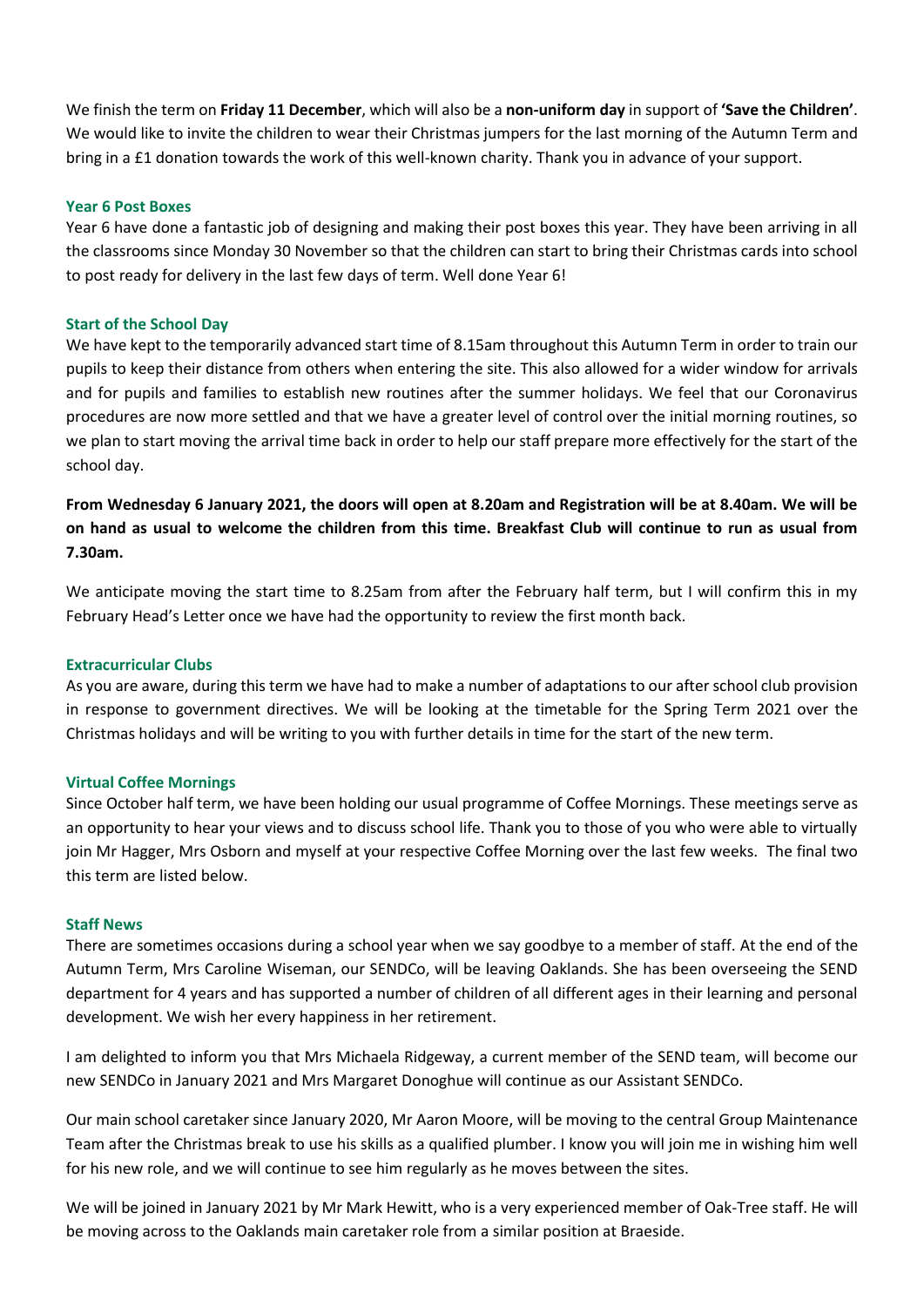We finish the term on **Friday 11 December**, which will also be a **non-uniform day** in support of **'Save the Children'**. We would like to invite the children to wear their Christmas jumpers for the last morning of the Autumn Term and bring in a £1 donation towards the work of this well-known charity. Thank you in advance of your support.

### **Year 6 Post Boxes**

Year 6 have done a fantastic job of designing and making their post boxes this year. They have been arriving in all the classrooms since Monday 30 November so that the children can start to bring their Christmas cards into school to post ready for delivery in the last few days of term. Well done Year 6!

#### **Start of the School Day**

We have kept to the temporarily advanced start time of 8.15am throughout this Autumn Term in order to train our pupils to keep their distance from others when entering the site. This also allowed for a wider window for arrivals and for pupils and families to establish new routines after the summer holidays. We feel that our Coronavirus procedures are now more settled and that we have a greater level of control over the initial morning routines, so we plan to start moving the arrival time back in order to help our staff prepare more effectively for the start of the school day.

**From Wednesday 6 January 2021, the doors will open at 8.20am and Registration will be at 8.40am. We will be on hand as usual to welcome the children from this time. Breakfast Club will continue to run as usual from 7.30am.**

We anticipate moving the start time to 8.25am from after the February half term, but I will confirm this in my February Head's Letter once we have had the opportunity to review the first month back.

#### **Extracurricular Clubs**

As you are aware, during this term we have had to make a number of adaptations to our after school club provision in response to government directives. We will be looking at the timetable for the Spring Term 2021 over the Christmas holidays and will be writing to you with further details in time for the start of the new term.

#### **Virtual Coffee Mornings**

Since October half term, we have been holding our usual programme of Coffee Mornings. These meetings serve as an opportunity to hear your views and to discuss school life. Thank you to those of you who were able to virtually join Mr Hagger, Mrs Osborn and myself at your respective Coffee Morning over the last few weeks. The final two this term are listed below.

#### **Staff News**

There are sometimes occasions during a school year when we say goodbye to a member of staff. At the end of the Autumn Term, Mrs Caroline Wiseman, our SENDCo, will be leaving Oaklands. She has been overseeing the SEND department for 4 years and has supported a number of children of all different ages in their learning and personal development. We wish her every happiness in her retirement.

I am delighted to inform you that Mrs Michaela Ridgeway, a current member of the SEND team, will become our new SENDCo in January 2021 and Mrs Margaret Donoghue will continue as our Assistant SENDCo.

Our main school caretaker since January 2020, Mr Aaron Moore, will be moving to the central Group Maintenance Team after the Christmas break to use his skills as a qualified plumber. I know you will join me in wishing him well for his new role, and we will continue to see him regularly as he moves between the sites.

We will be joined in January 2021 by Mr Mark Hewitt, who is a very experienced member of Oak-Tree staff. He will be moving across to the Oaklands main caretaker role from a similar position at Braeside.